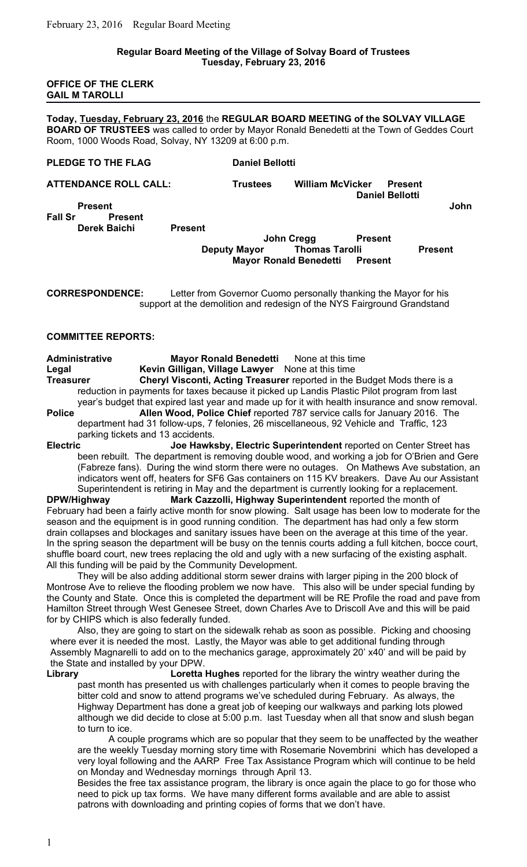### **Regular Board Meeting of the Village of Solvay Board of Trustees Tuesday, February 23, 2016**

**OFFICE OF THE CLERK GAIL M TAROLLI**

**Today, Tuesday, February 23, 2016** the **REGULAR BOARD MEETING of the SOLVAY VILLAGE BOARD OF TRUSTEES** was called to order by Mayor Ronald Benedetti at the Town of Geddes Court Room, 1000 Woods Road, Solvay, NY 13209 at 6:00 p.m.

**PLEDGE TO THE FLAG** Daniel Bellotti **ATTENDANCE ROLL CALL: Trustees William McVicker Present Daniel Bellotti Present John Fall Sr Present Derek Baichi Present John Cregg Present**<br>Deputy Mayor Thomas Tarolli

**Deputy Mayor Thomas Tarolli Present Mayor Ronald Benedetti Present**

**CORRESPONDENCE:** Letter from Governor Cuomo personally thanking the Mayor for his support at the demolition and redesign of the NYS Fairground Grandstand

### **COMMITTEE REPORTS:**

**Administrative Mayor Ronald Benedetti** None at this time **Legal Kevin Gilligan, Village Lawyer** None at this time **Treasurer Cheryl Visconti, Acting Treasurer** reported in the Budget Mods there is a reduction in payments for taxes because it picked up Landis Plastic Pilot program from last year's budget that expired last year and made up for it with health insurance and snow removal.

**Police Allen Wood, Police Chief** reported 787 service calls for January 2016. The department had 31 follow-ups, 7 felonies, 26 miscellaneous, 92 Vehicle and Traffic, 123 parking tickets and 13 accidents.

**Electric Joe Hawksby, Electric Superintendent** reported on Center Street has been rebuilt. The department is removing double wood, and working a job for O'Brien and Gere (Fabreze fans). During the wind storm there were no outages. On Mathews Ave substation, an indicators went off, heaters for SF6 Gas containers on 115 KV breakers. Dave Au our Assistant Superintendent is retiring in May and the department is currently looking for a replacement.

**DPW/Highway Mark Cazzolli, Highway Superintendent** reported the month of February had been a fairly active month for snow plowing. Salt usage has been low to moderate for the season and the equipment is in good running condition. The department has had only a few storm drain collapses and blockages and sanitary issues have been on the average at this time of the year. In the spring season the department will be busy on the tennis courts adding a full kitchen, bocce court, shuffle board court, new trees replacing the old and ugly with a new surfacing of the existing asphalt. All this funding will be paid by the Community Development.

They will be also adding additional storm sewer drains with larger piping in the 200 block of Montrose Ave to relieve the flooding problem we now have. This also will be under special funding by the County and State. Once this is completed the department will be RE Profile the road and pave from Hamilton Street through West Genesee Street, down Charles Ave to Driscoll Ave and this will be paid for by CHIPS which is also federally funded.

Also, they are going to start on the sidewalk rehab as soon as possible. Picking and choosing where ever it is needed the most. Lastly, the Mayor was able to get additional funding through Assembly Magnarelli to add on to the mechanics garage, approximately 20' x40' and will be paid by the State and installed by your DPW.

**Library Loretta Hughes** reported for the library the wintry weather during the past month has presented us with challenges particularly when it comes to people braving the bitter cold and snow to attend programs we've scheduled during February. As always, the Highway Department has done a great job of keeping our walkways and parking lots plowed although we did decide to close at 5:00 p.m. last Tuesday when all that snow and slush began to turn to ice.

A couple programs which are so popular that they seem to be unaffected by the weather are the weekly Tuesday morning story time with Rosemarie Novembrini which has developed a very loyal following and the AARP Free Tax Assistance Program which will continue to be held on Monday and Wednesday mornings through April 13.

Besides the free tax assistance program, the library is once again the place to go for those who need to pick up tax forms. We have many different forms available and are able to assist patrons with downloading and printing copies of forms that we don't have.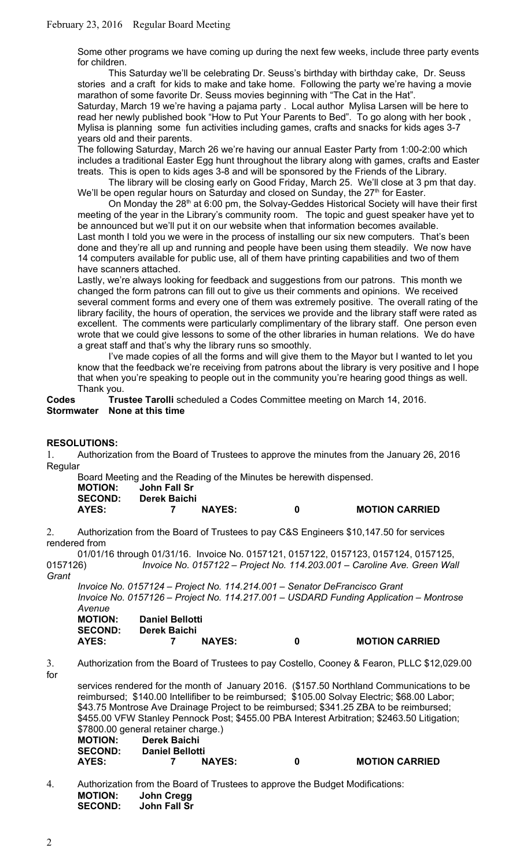Some other programs we have coming up during the next few weeks, include three party events for children.

This Saturday we'll be celebrating Dr. Seuss's birthday with birthday cake, Dr. Seuss stories and a craft for kids to make and take home. Following the party we're having a movie marathon of some favorite Dr. Seuss movies beginning with "The Cat in the Hat".

Saturday, March 19 we're having a pajama party . Local author Mylisa Larsen will be here to read her newly published book "How to Put Your Parents to Bed". To go along with her book , Mylisa is planning some fun activities including games, crafts and snacks for kids ages 3-7 years old and their parents.

The following Saturday, March 26 we're having our annual Easter Party from 1:00-2:00 which includes a traditional Easter Egg hunt throughout the library along with games, crafts and Easter treats. This is open to kids ages 3-8 and will be sponsored by the Friends of the Library.

The library will be closing early on Good Friday, March 25. We'll close at 3 pm that day. We'll be open regular hours on Saturday and closed on Sunday, the  $27<sup>th</sup>$  for Easter.

On Monday the 28<sup>th</sup> at 6:00 pm, the Solvay-Geddes Historical Society will have their first meeting of the year in the Library's community room. The topic and guest speaker have yet to be announced but we'll put it on our website when that information becomes available. Last month I told you we were in the process of installing our six new computers. That's been done and they're all up and running and people have been using them steadily. We now have 14 computers available for public use, all of them have printing capabilities and two of them

have scanners attached. Lastly, we're always looking for feedback and suggestions from our patrons. This month we changed the form patrons can fill out to give us their comments and opinions. We received several comment forms and every one of them was extremely positive. The overall rating of the library facility, the hours of operation, the services we provide and the library staff were rated as excellent. The comments were particularly complimentary of the library staff. One person even wrote that we could give lessons to some of the other libraries in human relations. We do have a great staff and that's why the library runs so smoothly.

I've made copies of all the forms and will give them to the Mayor but I wanted to let you know that the feedback we're receiving from patrons about the library is very positive and I hope that when you're speaking to people out in the community you're hearing good things as well. Thank you.

**Codes Trustee Tarolli** scheduled a Codes Committee meeting on March 14, 2016. **Stormwater None at this time**

# **RESOLUTIONS:**

1. Authorization from the Board of Trustees to approve the minutes from the January 26, 2016 Regular

Board Meeting and the Reading of the Minutes be herewith dispensed. **MOTION: John Fall Sr SECOND: Derek Baichi AYES: 7 NAYES: 0 MOTION CARRIED**

2. Authorization from the Board of Trustees to pay C&S Engineers \$10,147.50 for services rendered from

01/01/16 through 01/31/16. Invoice No. 0157121, 0157122, 0157123, 0157124, 0157125, 0157126) *Invoice No. 0157122 – Project No. 114.203.001 – Caroline Ave. Green Wall Grant*

*Invoice No. 0157124 – Project No. 114.214.001 – Senator DeFrancisco Grant Invoice No. 0157126 – Project No. 114.217.001 – USDARD Funding Application – Montrose Avenue*

| <b>MOTION:</b> | <b>Daniel Bellotti</b> |                       |
|----------------|------------------------|-----------------------|
| <b>SECOND:</b> | Derek Baichi           |                       |
| AYES:          | <b>NAYES:</b>          | <b>MOTION CARRIED</b> |

3. Authorization from the Board of Trustees to pay Costello, Cooney & Fearon, PLLC \$12,029.00  $for$ 

services rendered for the month of January 2016. (\$157.50 Northland Communications to be reimbursed; \$140.00 Intellifiber to be reimbursed; \$105.00 Solvay Electric; \$68.00 Labor; \$43.75 Montrose Ave Drainage Project to be reimbursed; \$341.25 ZBA to be reimbursed; \$455.00 VFW Stanley Pennock Post; \$455.00 PBA Interest Arbitration; \$2463.50 Litigation; \$7800.00 general retainer charge.)

| <b>MOTION:</b> | Derek Baichi           |               |   |                       |
|----------------|------------------------|---------------|---|-----------------------|
| <b>SECOND:</b> | <b>Daniel Bellotti</b> |               |   |                       |
| AYES:          |                        | <b>NAYES:</b> | 0 | <b>MOTION CARRIED</b> |

4. Authorization from the Board of Trustees to approve the Budget Modifications: **MOTION: John Cregg SECOND: John Fall Sr**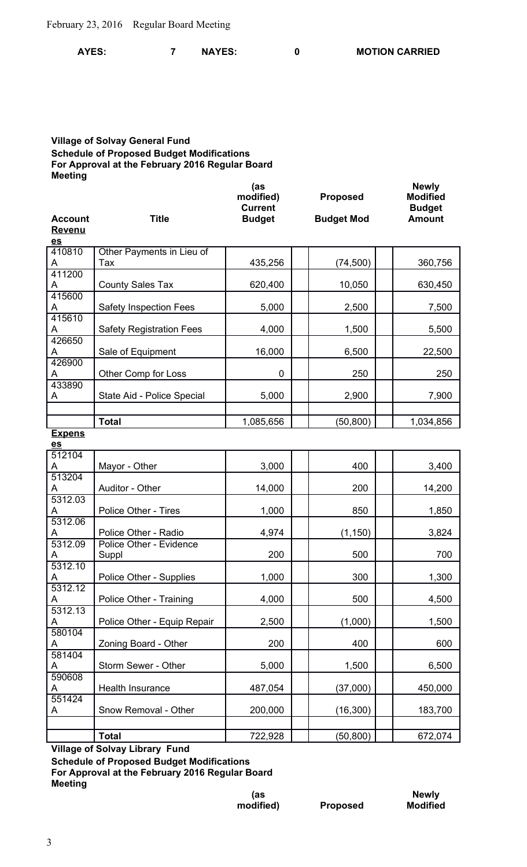| <b>AYES:</b> | <b>NAYES:</b> | <b>MOTION CARRIED</b> |
|--------------|---------------|-----------------------|
|              |               |                       |

## **Village of Solvay General Fund Schedule of Proposed Budget Modifications For Approval at the February 2016 Regular Board Meeting (as**

| <b>Account</b>   | <b>Title</b>                    | (as<br>modified)<br><b>Current</b><br><b>Budget</b> | <b>Proposed</b><br><b>Budget Mod</b> | <b>Newly</b><br><b>Modified</b><br><b>Budget</b><br><b>Amount</b> |
|------------------|---------------------------------|-----------------------------------------------------|--------------------------------------|-------------------------------------------------------------------|
| <b>Revenu</b>    |                                 |                                                     |                                      |                                                                   |
| $\underline{es}$ |                                 |                                                     |                                      |                                                                   |
| 410810           | Other Payments in Lieu of       |                                                     |                                      |                                                                   |
| A                | Tax                             | 435,256                                             | (74, 500)                            | 360,756                                                           |
| 411200           |                                 |                                                     |                                      |                                                                   |
| A<br>415600      | <b>County Sales Tax</b>         | 620,400                                             | 10,050                               | 630,450                                                           |
| A                | Safety Inspection Fees          | 5,000                                               | 2,500                                | 7,500                                                             |
| 415610           |                                 |                                                     |                                      |                                                                   |
| A                | <b>Safety Registration Fees</b> | 4,000                                               | 1,500                                | 5,500                                                             |
| 426650           |                                 |                                                     |                                      |                                                                   |
| A                | Sale of Equipment               | 16,000                                              | 6,500                                | 22,500                                                            |
| 426900<br>A      | Other Comp for Loss             | 0                                                   | 250                                  | 250                                                               |
| 433890           |                                 |                                                     |                                      |                                                                   |
| A                | State Aid - Police Special      | 5,000                                               | 2,900                                | 7,900                                                             |
|                  |                                 |                                                     |                                      |                                                                   |
|                  | <b>Total</b>                    | 1,085,656                                           | (50, 800)                            | 1,034,856                                                         |
| <b>Expens</b>    |                                 |                                                     |                                      |                                                                   |
| $\underline{es}$ |                                 |                                                     |                                      |                                                                   |
| 512104           |                                 |                                                     |                                      |                                                                   |
| A<br>513204      | Mayor - Other                   | 3,000                                               | 400                                  | 3,400                                                             |
| A                | Auditor - Other                 | 14,000                                              | 200                                  | 14,200                                                            |
| 5312.03          |                                 |                                                     |                                      |                                                                   |
| A                | Police Other - Tires            | 1,000                                               | 850                                  | 1,850                                                             |
| 5312.06          |                                 |                                                     |                                      |                                                                   |
| A                | Police Other - Radio            | 4,974                                               | (1, 150)                             | 3,824                                                             |
| 5312.09          | Police Other - Evidence         |                                                     |                                      |                                                                   |
| A<br>5312.10     | Suppl                           | 200                                                 | 500                                  | 700                                                               |
| A                | Police Other - Supplies         | 1,000                                               | 300                                  | 1,300                                                             |
| 5312.12          |                                 |                                                     |                                      |                                                                   |
| A                | Police Other - Training         | 4,000                                               | 500                                  | 4,500                                                             |
| 5312.13          |                                 |                                                     |                                      |                                                                   |
| A<br>580104      | Police Other - Equip Repair     | 2,500                                               | (1,000)                              | 1,500                                                             |
| A                | Zoning Board - Other            | 200                                                 | 400                                  | 600                                                               |
| 581404           |                                 |                                                     |                                      |                                                                   |
| A                | Storm Sewer - Other             | 5,000                                               | 1,500                                | 6,500                                                             |
| 590608           |                                 |                                                     |                                      |                                                                   |
| A                | Health Insurance                | 487,054                                             | (37,000)                             | 450,000                                                           |
| 551424           |                                 |                                                     |                                      |                                                                   |
| A                | Snow Removal - Other            | 200,000                                             | (16, 300)                            | 183,700                                                           |
|                  |                                 |                                                     |                                      |                                                                   |
|                  | <b>Total</b>                    | 722,928                                             | (50, 800)                            | 672,074                                                           |

**Village of Solvay Library Fund**

**Schedule of Proposed Budget Modifications For Approval at the February 2016 Regular Board Meeting**

**(as**

**modified) Proposed**

**Newly Modified**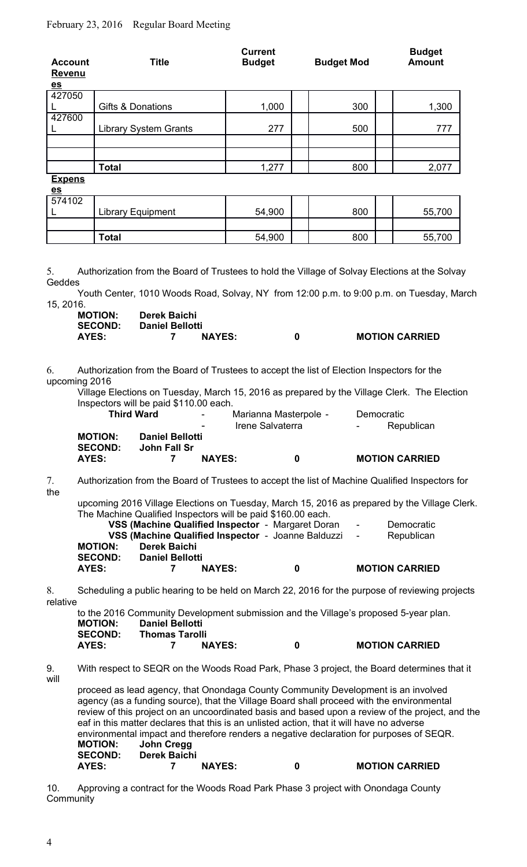# February 23, 2016 Regular Board Meeting

| <b>Account</b><br><b>Revenu</b>   |                                                  | <b>Title</b>                                                                                                                                                                                                                                                                                                                                                                                                                         | <b>Current</b><br><b>Budget</b> |                                           | <b>Budget Mod</b> |            | <b>Budget</b><br><b>Amount</b>                                                                                            |
|-----------------------------------|--------------------------------------------------|--------------------------------------------------------------------------------------------------------------------------------------------------------------------------------------------------------------------------------------------------------------------------------------------------------------------------------------------------------------------------------------------------------------------------------------|---------------------------------|-------------------------------------------|-------------------|------------|---------------------------------------------------------------------------------------------------------------------------|
| $\underline{es}$<br>427050        |                                                  |                                                                                                                                                                                                                                                                                                                                                                                                                                      |                                 |                                           |                   |            |                                                                                                                           |
| L<br>427600                       |                                                  | Gifts & Donations                                                                                                                                                                                                                                                                                                                                                                                                                    |                                 | 1,000                                     |                   | 300        | 1,300                                                                                                                     |
| L                                 |                                                  | <b>Library System Grants</b>                                                                                                                                                                                                                                                                                                                                                                                                         |                                 | 277                                       |                   | 500        | 777                                                                                                                       |
|                                   |                                                  |                                                                                                                                                                                                                                                                                                                                                                                                                                      |                                 |                                           |                   |            |                                                                                                                           |
|                                   | <b>Total</b>                                     |                                                                                                                                                                                                                                                                                                                                                                                                                                      |                                 | 1,277                                     |                   | 800        | 2,077                                                                                                                     |
| <b>Expens</b><br>$\underline{es}$ |                                                  |                                                                                                                                                                                                                                                                                                                                                                                                                                      |                                 |                                           |                   |            |                                                                                                                           |
| 574102<br>L                       |                                                  | <b>Library Equipment</b>                                                                                                                                                                                                                                                                                                                                                                                                             |                                 | 54,900                                    |                   | 800        | 55,700                                                                                                                    |
|                                   |                                                  |                                                                                                                                                                                                                                                                                                                                                                                                                                      |                                 |                                           |                   |            |                                                                                                                           |
|                                   | <b>Total</b>                                     |                                                                                                                                                                                                                                                                                                                                                                                                                                      |                                 | 54,900                                    |                   | 800        | 55,700                                                                                                                    |
| Geddes<br>15, 2016.<br>6.         | <b>MOTION:</b><br><b>SECOND:</b><br><b>AYES:</b> | <b>Derek Baichi</b><br><b>Daniel Bellotti</b><br>7<br>Authorization from the Board of Trustees to accept the list of Election Inspectors for the                                                                                                                                                                                                                                                                                     | <b>NAYES:</b>                   | $\mathbf 0$                               |                   |            | Youth Center, 1010 Woods Road, Solvay, NY from 12:00 p.m. to 9:00 p.m. on Tuesday, March<br><b>MOTION CARRIED</b>         |
| upcoming 2016                     | <b>MOTION:</b><br><b>SECOND:</b>                 | Inspectors will be paid \$110.00 each.<br><b>Third Ward</b><br>-<br><b>Daniel Bellotti</b><br><b>John Fall Sr</b>                                                                                                                                                                                                                                                                                                                    |                                 | Marianna Masterpole -<br>Irene Salvaterra |                   | Democratic | Village Elections on Tuesday, March 15, 2016 as prepared by the Village Clerk. The Election<br>Republican                 |
|                                   | <b>AYES:</b>                                     | 7                                                                                                                                                                                                                                                                                                                                                                                                                                    | <b>NAYES:</b>                   | 0                                         |                   |            | <b>MOTION CARRIED</b>                                                                                                     |
| 7.<br>the                         |                                                  |                                                                                                                                                                                                                                                                                                                                                                                                                                      |                                 |                                           |                   |            | Authorization from the Board of Trustees to accept the list of Machine Qualified Inspectors for                           |
|                                   |                                                  | The Machine Qualified Inspectors will be paid \$160.00 each.                                                                                                                                                                                                                                                                                                                                                                         |                                 |                                           |                   |            | upcoming 2016 Village Elections on Tuesday, March 15, 2016 as prepared by the Village Clerk.                              |
|                                   | <b>MOTION:</b>                                   | VSS (Machine Qualified Inspector - Margaret Doran<br>VSS (Machine Qualified Inspector - Joanne Balduzzi<br><b>Derek Baichi</b>                                                                                                                                                                                                                                                                                                       |                                 |                                           |                   |            | Democratic<br>Republican                                                                                                  |
|                                   | <b>SECOND:</b><br><b>AYES:</b>                   | <b>Daniel Bellotti</b><br>7                                                                                                                                                                                                                                                                                                                                                                                                          | <b>NAYES:</b>                   | $\mathbf 0$                               |                   |            | <b>MOTION CARRIED</b>                                                                                                     |
| 8.<br>relative                    |                                                  |                                                                                                                                                                                                                                                                                                                                                                                                                                      |                                 |                                           |                   |            | Scheduling a public hearing to be held on March 22, 2016 for the purpose of reviewing projects                            |
|                                   | <b>MOTION:</b><br><b>SECOND:</b><br><b>AYES:</b> | to the 2016 Community Development submission and the Village's proposed 5-year plan.<br><b>Daniel Bellotti</b><br><b>Thomas Tarolli</b><br>7                                                                                                                                                                                                                                                                                         | <b>NAYES:</b>                   | $\mathbf 0$                               |                   |            | <b>MOTION CARRIED</b>                                                                                                     |
| 9.                                |                                                  |                                                                                                                                                                                                                                                                                                                                                                                                                                      |                                 |                                           |                   |            | With respect to SEQR on the Woods Road Park, Phase 3 project, the Board determines that it                                |
| will                              | <b>MOTION:</b><br><b>SECOND:</b><br><b>AYES:</b> | proceed as lead agency, that Onondaga County Community Development is an involved<br>agency (as a funding source), that the Village Board shall proceed with the environmental<br>eaf in this matter declares that this is an unlisted action, that it will have no adverse<br>environmental impact and therefore renders a negative declaration for purposes of SEQR.<br><b>John Cregg</b><br><b>Derek Baichi</b><br>$\overline{7}$ | <b>NAYES:</b>                   | 0                                         |                   |            | review of this project on an uncoordinated basis and based upon a review of the project, and the<br><b>MOTION CARRIED</b> |
|                                   |                                                  |                                                                                                                                                                                                                                                                                                                                                                                                                                      |                                 |                                           |                   |            |                                                                                                                           |

10. Approving a contract for the Woods Road Park Phase 3 project with Onondaga County **Community**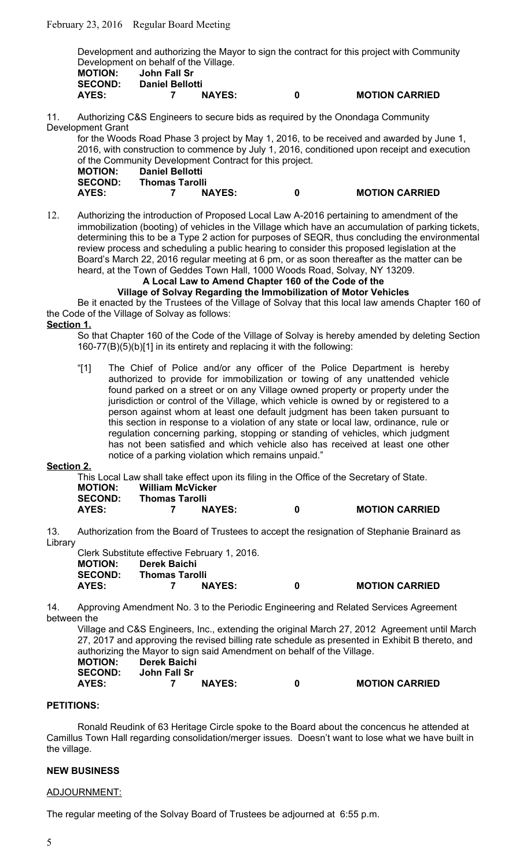Development and authorizing the Mayor to sign the contract for this project with Community Development on behalf of the Village.

| <b>MOTION:</b><br><b>SECOND:</b> | <b>John Fall Sr</b><br><b>Daniel Bellotti</b> |               |   |                       |
|----------------------------------|-----------------------------------------------|---------------|---|-----------------------|
| AYES:                            |                                               | <b>NAYES:</b> | 0 | <b>MOTION CARRIED</b> |

11. Authorizing C&S Engineers to secure bids as required by the Onondaga Community Development Grant

for the Woods Road Phase 3 project by May 1, 2016, to be received and awarded by June 1, 2016, with construction to commence by July 1, 2016, conditioned upon receipt and execution of the Community Development Contract for this project.

| <b>MOTION:</b> | <b>Daniel Bellotti</b> |             |
|----------------|------------------------|-------------|
| <b>SECOND:</b> | <b>Thomas Tarolli</b>  |             |
| AYES:          | 7                      | <b>NAYE</b> |

**AYES: 7 NAYES: 0 MOTION CARRIED**

**AYES: 7 NAYES: 0 MOTION CARRIED**

12. Authorizing the introduction of Proposed Local Law A-2016 pertaining to amendment of the immobilization (booting) of vehicles in the Village which have an accumulation of parking tickets, determining this to be a Type 2 action for purposes of SEQR, thus concluding the environmental review process and scheduling a public hearing to consider this proposed legislation at the Board's March 22, 2016 regular meeting at 6 pm, or as soon thereafter as the matter can be heard, at the Town of Geddes Town Hall, 1000 Woods Road, Solvay, NY 13209.

**A Local Law to Amend Chapter 160 of the Code of the**

# **Village of Solvay Regarding the Immobilization of Motor Vehicles**

Be it enacted by the Trustees of the Village of Solvay that this local law amends Chapter 160 of the Code of the Village of Solvay as follows:

**Section 1.**

So that Chapter 160 of the Code of the Village of Solvay is hereby amended by deleting Section 160-77(B)(5)(b)[1] in its entirety and replacing it with the following:

"[1] The Chief of Police and/or any officer of the Police Department is hereby authorized to provide for immobilization or towing of any unattended vehicle found parked on a street or on any Village owned property or property under the jurisdiction or control of the Village, which vehicle is owned by or registered to a person against whom at least one default judgment has been taken pursuant to this section in response to a violation of any state or local law, ordinance, rule or regulation concerning parking, stopping or standing of vehicles, which judgment has not been satisfied and which vehicle also has received at least one other notice of a parking violation which remains unpaid."

**Section 2.**

This Local Law shall take effect upon its filing in the Office of the Secretary of State. **MOTION: William McVicker SECOND: Thomas Tarolli AYES: 7 NAYES: 0 MOTION CARRIED**

13. Authorization from the Board of Trustees to accept the resignation of Stephanie Brainard as Library

|                | Clerk Substitute effective February 1, 2016. |
|----------------|----------------------------------------------|
| <b>MOTION:</b> | <b>Derek Baichi</b>                          |
| <b>SECOND:</b> | Thomas Tarolli                               |
| AYES:          | <b>NAYES:</b><br>$\mathbf{z}$                |

14. Approving Amendment No. 3 to the Periodic Engineering and Related Services Agreement between the

Village and C&S Engineers, Inc., extending the original March 27, 2012 Agreement until March 27, 2017 and approving the revised billing rate schedule as presented in Exhibit B thereto, and authorizing the Mayor to sign said Amendment on behalf of the Village. **MOTION: Derek Baichi SECOND: John Fall Sr AYES: 7 NAYES: 0 MOTION CARRIED**

### **PETITIONS:**

Ronald Reudink of 63 Heritage Circle spoke to the Board about the concencus he attended at Camillus Town Hall regarding consolidation/merger issues. Doesn't want to lose what we have built in the village.

# **NEW BUSINESS**

### ADJOURNMENT:

The regular meeting of the Solvay Board of Trustees be adjourned at 6:55 p.m.